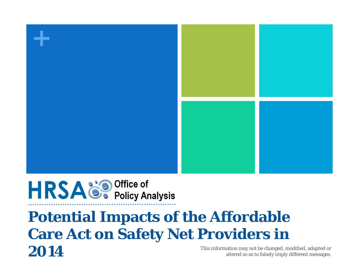

**HRSA**<sup>8</sup> Policy Analysis

### **Potential Impacts of the Affordable Care Act on Safety Net Providers in**  This information may not be changed, modified, adapted or altered so as to falsely imply different messages.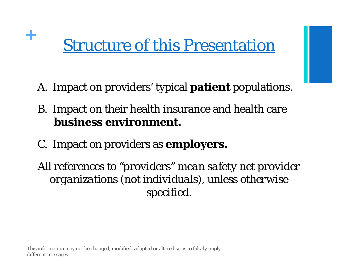# <sup>+</sup> Structure of this Presentation

- A. Impact on providers' typical **patient** populations.
- B. Impact on their health insurance and health care **business environment.**
- C. Impact on providers as **employers.**

*All references to "providers" mean safety net provider organizations (not individuals), unless otherwise specified.*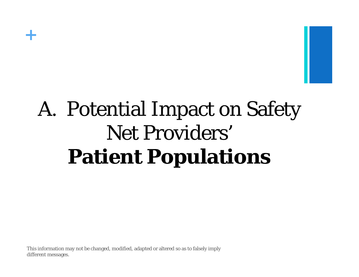

# A. Potential Impact on Safety Net Providers' **Patient Populations**

This information may not be changed, modified, adapted or altered so as to falsely imply different messages.

**+**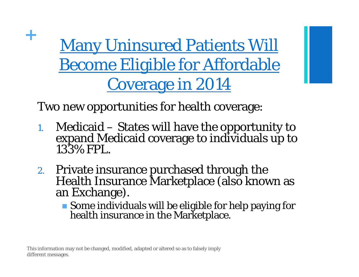**+ Many Uninsured Patients Will** Become Eligible for Affordable Coverage in 2014

Two new opportunities for health coverage:

- 1.Medicaid – States will have the opportunity to expand Medicaid coverage to individuals up to 133% FPL.
- 2. Private insurance purchased through the Health Insurance Marketplace (also known as an Exchange).
	- Some individuals will be eligible for help paying for health insurance in the Marketplace.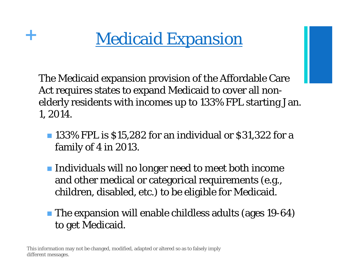

The Medicaid expansion provision of the Affordable Care Act requires states to expand Medicaid to cover all nonelderly residents with incomes up to 133% FPL starting Jan. 1, 2014.

- **133% FPL is \$15,282 for an individual or \$31,322 for a** family of 4 in 2013.
- $\blacksquare$  Individuals will no longer need to meet both income and other medical or categorical requirements (e.g., children, disabled, etc.) to be eligible for Medicaid.
- **The expansion will enable childless adults (ages 19-64)** to get Medicaid.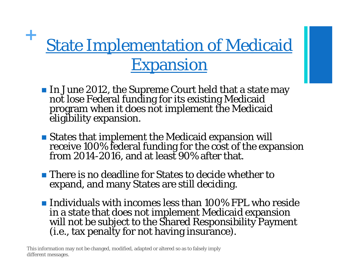# **State Implementation of Medicaid** Expansion

- In June 2012, the Supreme Court held that a state may not lose Federal funding for its existing Medicaid<br>program when it does not implement the Medicaid<br>eligibility expansion.
- States that implement the Medicaid expansion will receive 100% federal funding for the cost of the expansion from 2014-2016, and at least 90% after that.
- **There is no deadline for States to decide whether to** expand, and many States are still deciding.
- **Individuals with incomes less than 100% FPL who reside** in a state that does not implement Medicaid expansion will not be subject to the Shared Responsibility Payment (i.e., tax penalty for not having insurance).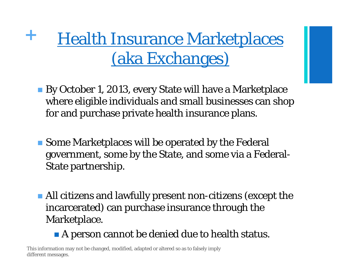**+ Health Insurance Marketplaces** (aka Exchanges)

- By October 1, 2013, every State will have a Marketplace where eligible individuals and small businesses can shop for and purchase private health insurance plans.
- **Some Marketplaces will be operated by the Federal** government, some by the State, and some via a Federal-State partnership.
- All citizens and lawfully present non-citizens (except the incarcerated) can purchase insurance through the Marketplace.
	- **A** person cannot be denied due to health status.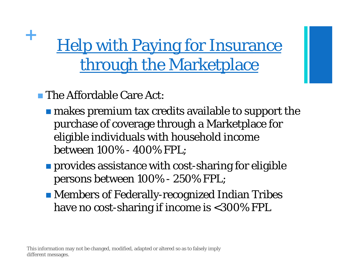# <sup>+</sup> Help with Paying for Insurance through the Marketplace

**The Affordable Care Act:** 

- **n** makes premium tax credits available to support the purchase of coverage through a Marketplace for eligible individuals with household income between 100% - 400% FPL;
- **Perovides assistance with cost-sharing for eligible** persons between 100% - 250% FPL;
- Members of Federally-recognized Indian Tribes have no cost-sharing if income is <300% FPL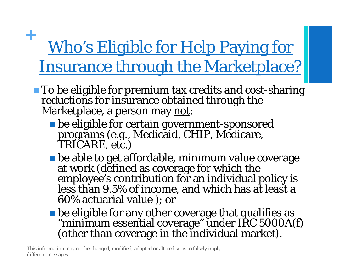### **+** Who's Eligible for Help Paying for Insurance through the Marketplace?

- To be eligible for premium tax credits and cost-sharing<br>reductions for insurance obtained through the<br>Marketplace, a person may <u>not</u>:
	- be eligible for certain government-sponsored programs (e.g., Medicaid, CHIP, Medicare, TRICARE, etc.)
	- be able to get affordable, minimum value coverage at work (defined as coverage for which the<br>employee's contribution for an individual policy is<br>less than 9.5% of income, and which has at least a 60% actuarial value ); or
	- **be eligible for any other coverage that qualifies as** "minimum essential coverage" under IRC 5000A(f)<br>(other than coverage in the individual market).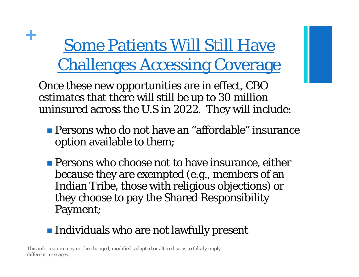# <sup>+</sup> Some Patients Will Still Have Challenges Accessing Coverage

Once these new opportunities are in effect, CBO estimates that there will still be up to 30 million uninsured across the U.S in 2022. They will include:

- **Persons who do not have an "affordable" insurance** option available to them;
- **Persons who choose not to have insurance, either** because they are exempted (e.g., members of an Indian Tribe, those with religious objections) or they choose to pay the Shared Responsibility Payment;

#### **Individuals who are not lawfully present**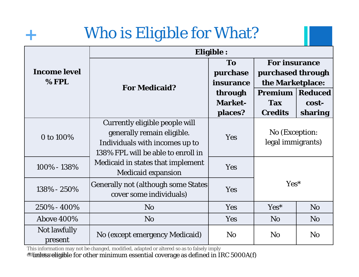### **<sup>+</sup>**Who is Eligible for What?

|                              | <b>Eligible:</b>                                                                                                                     |                                                                     |                                                                                                                 |                             |
|------------------------------|--------------------------------------------------------------------------------------------------------------------------------------|---------------------------------------------------------------------|-----------------------------------------------------------------------------------------------------------------|-----------------------------|
| <b>Income level</b><br>% FPL | <b>For Medicaid?</b>                                                                                                                 | To<br>purchase<br>insurance<br>through<br><b>Market-</b><br>places? | <b>For insurance</b><br>purchased through<br>the Marketplace:<br><b>Premium</b><br><b>Tax</b><br><b>Credits</b> | Reduced<br>cost-<br>sharing |
| 0 to 100%                    | Currently eligible people will<br>generally remain eligible.<br>Individuals with incomes up to<br>138% FPL will be able to enroll in | Yes                                                                 | No (Exception:<br>legal immigrants)                                                                             |                             |
| 100% - 138%                  | Medicaid in states that implement<br><b>Medicaid expansion</b>                                                                       | Yes                                                                 |                                                                                                                 |                             |
| 138% - 250%                  | <b>Generally not (although some States)</b><br>cover some individuals)                                                               | Yes                                                                 | Yes*                                                                                                            |                             |
| 250% - 400%                  | N <sub>o</sub>                                                                                                                       | Yes                                                                 | $Yes*$                                                                                                          | N <sub>o</sub>              |
| <b>Above 400%</b>            | N <sub>o</sub>                                                                                                                       | Yes                                                                 | N <sub>o</sub>                                                                                                  | N <sub>o</sub>              |
| Not lawfully<br>present      | No (except emergency Medicaid)                                                                                                       | N <sub>o</sub>                                                      | N <sub>o</sub>                                                                                                  | N <sub>0</sub>              |

This information may not be changed, modified, adapted or altered so as to falsely imply

different messages. At the message as defined in IRC 5000A(f)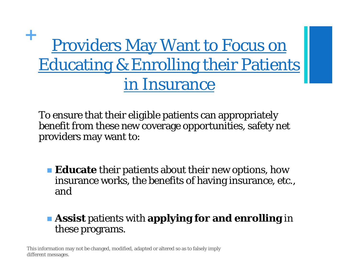## **<sup>+</sup>**Providers May Want to Focus on Educating & Enrolling their Patients in Insurance

To ensure that their eligible patients can appropriately benefit from these new coverage opportunities, safety net providers may want to:

**Educate** their patients about their new options, how insurance works, the benefits of having insurance, etc., and

#### **Assist** patients with **applying for and enrolling** in these programs.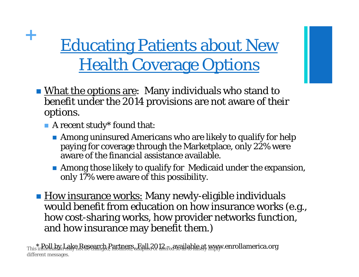# <sup>+</sup> Educating Patients about New **Health Coverage Options**

- What the options are: Many individuals who stand to benefit under the 2014 provisions are not aware of their options.
	- **A** recent study\* found that:
		- Among uninsured Americans who are likely to qualify for help paying for coverage through the Marketplace, only 22% were aware of the financial assistance available.
		- Among those likely to qualify for Medicaid under the expansion, only 17% were aware of this possibility.
- **How insurance works: Many newly-eligible individuals** would benefit from education on how insurance works (e.g., how cost-sharing works, how provider networks function, and how insurance may benefit them.)

This information rake Research Partners, a Fall 2012 – available at www.enrollamerica.org different messages.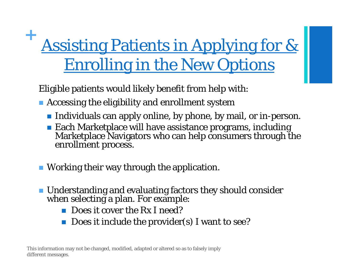# **<sup>+</sup>**Assisting Patients in Applying for & Enrolling in the New Options

Eligible patients would likely benefit from help with:

- **Accessing the eligibility and enrollment system** 
	- $\blacksquare$  Individuals can apply online, by phone, by mail, or in-person.
	- Each Marketplace will have assistance programs, including Marketplace Navigators who can help consumers through the enrollment process.
- Working their way through the application.
- Understanding and evaluating factors they should consider when selecting a plan. For example:
	- $\mathbb{R}^3$ Does it cover the Rx I need?
	- $\mathbb{R}^3$ Does it include the provider(s) I want to see?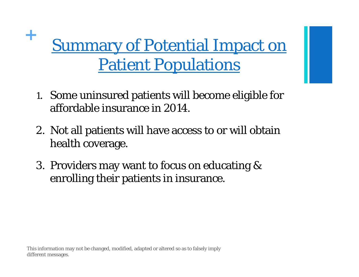# <sup>+</sup> Summary of Potential Impact on Patient Populations

- 1. Some uninsured patients will become eligible for affordable insurance in 2014.
- 2. Not all patients will have access to or will obtain health coverage.
- 3. Providers may want to focus on educating & enrolling their patients in insurance.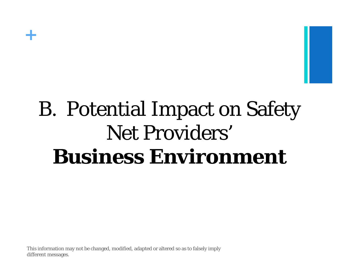

# B. Potential Impact on Safety Net Providers' **Business Environment**

This information may not be changed, modified, adapted or altered so as to falsely imply different messages.

**+**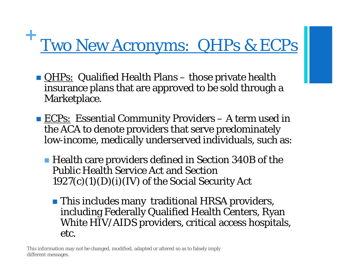# **<sup>+</sup>**Two New Acronyms: QHPs & ECPs

- **QHPs:** Qualified Health Plans those private health insurance plans that are approved to be sold through a Marketplace.
- **ECPs:** Essential Community Providers A term used in the ACA to denote providers that serve predominately low-income, medically underserved individuals, such as:
	- Health care providers defined in Section 340B of the Public Health Service Act and Section  $1927(c)(1)(D)(i)(IV)$  of the Social Security Act
		- **This includes many traditional HRSA providers,** including Federally Qualified Health Centers, Ryan White HIV/AIDS providers, critical access hospitals, etc.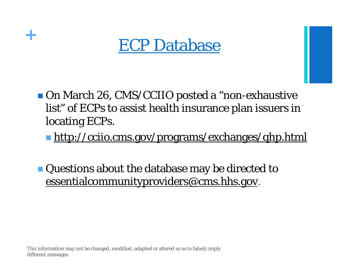

■ On March 26, CMS/CCIIO posted a "non-exhaustive" list" of ECPs to assist health insurance plan issuers in locating ECPs.

**http://cciio.cms.gov/programs/exchanges/qhp.html** 

 Questions about the database may be directed to essentialcommunityproviders@cms.hhs.gov.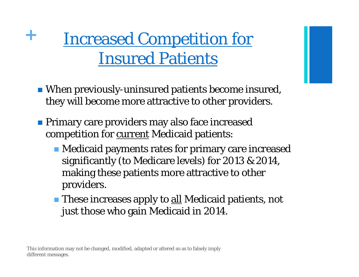## **<sup>+</sup>**Increased Competition for Insured Patients

- When previously-uninsured patients become insured, they will become more attractive to other providers.
- **Primary care providers may also face increased** competition for current Medicaid patients:
	- Medicaid payments rates for primary care increased significantly (to Medicare levels) for 2013 & 2014, making these patients more attractive to other providers.
	- **These increases apply to <u>all</u> Medicaid patients, not** just those who gain Medicaid in 2014.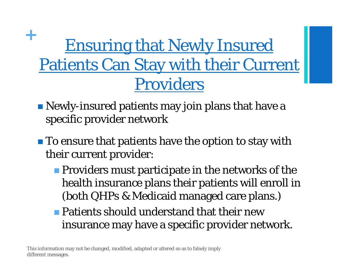## <sup>+</sup> Ensuring that Newly Insured Patients Can Stay with their Current Providers

- Newly-insured patients may join plans that have a specific provider network
- **To ensure that patients have the option to stay with** their current provider:
	- **Providers must participate in the networks of the** health insurance plans their patients will enroll in (both QHPs & Medicaid managed care plans.)
	- **Patients should understand that their new** insurance may have a specific provider network.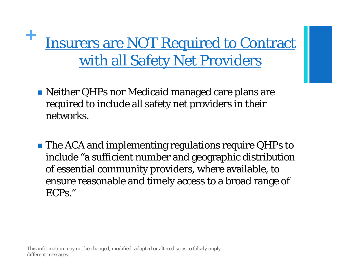**Insurers are NOT Required to Contract** with all Safety Net Providers

- Neither QHPs nor Medicaid managed care plans are required to include all safety net providers in their networks.
- **The ACA and implementing regulations require QHPs to** include "a sufficient number and geographic distribution of essential community providers, where available, to ensure reasonable and timely access to a broad range of ECPs."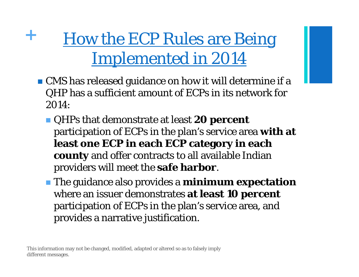**<sup>+</sup>**How the ECP Rules are Being Implemented in 2014

- CMS has released guidance on how it will determine if a QHP has a sufficient amount of ECPs in its network for 2014:
	- QHPs that demonstrate at least **20 percent**  participation of ECPs in the plan's service area **with at least one ECP in each ECP category in each county** and offer contracts to all available Indian providers will meet the **safe harbor**.
	- The guidance also provides a **minimum expectation**  where an issuer demonstrates **at least 10 percent**  participation of ECPs in the plan's service area, and provides a narrative justification.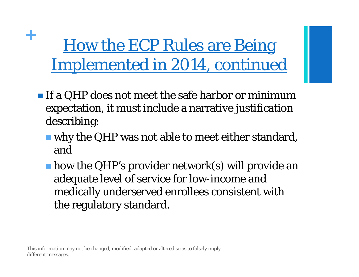<sup>+</sup> How the ECP Rules are Being Implemented in 2014, *continued*

- $\blacksquare$  If a QHP does not meet the safe harbor or minimum expectation, it must include a narrative justification describing:
	- why the QHP was not able to meet either standard, and
	- **h** how the QHP's provider network(s) will provide an adequate level of service for low-income and medically underserved enrollees consistent with the regulatory standard.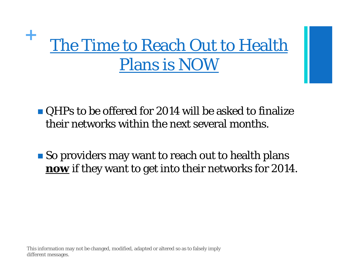# <sup>+</sup> The Time to Reach Out to Health Plans is NOW

■ QHPs to be offered for 2014 will be asked to finalize their networks within the next several months.

**So providers may want to reach out to health plans now** if they want to get into their networks for 2014.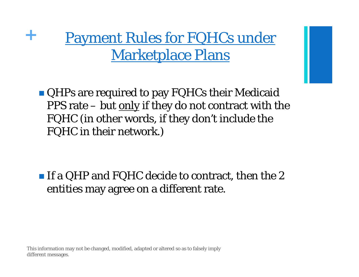### **<sup>+</sup>**Payment Rules for FQHCs under Marketplace Plans

**QHPs are required to pay FQHCs their Medicaid** PPS rate  $-$  but only if they do not contract with the FQHC (in other words, if they don't include the FQHC in their network.)

 $\blacksquare$  If a QHP and FQHC decide to contract, then the 2 entities may agree on a different rate.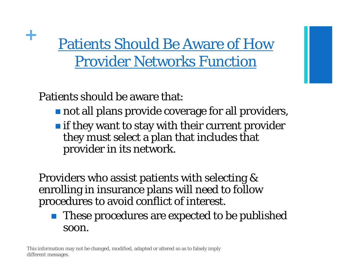**<sup>+</sup>**Patients Should Be Aware of How Provider Networks Function

Patients should be aware that:

- not all plans provide coverage for all providers,
- $\blacksquare$  if they want to stay with their current provider they must select a plan that includes that provider in its network.

Providers who assist patients with selecting & enrolling in insurance plans will need to follow procedures to avoid conflict of interest.

 $\mathbb{R}^2$  These procedures are expected to be published soon.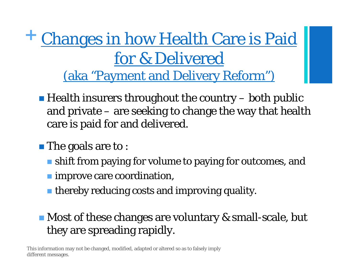**<sup>+</sup>**Changes in how Health Care is Paid for & Delivered (aka "Payment and Delivery Reform")

- $\blacksquare$  Health insurers throughout the country  $-$  both public and private – are seeking to change the way that health care is paid for and delivered.
- **The goals are to :** 
	- **shift from paying for volume to paying for outcomes, and**
	- **Improve care coordination,**
	- thereby reducing costs and improving quality.

#### ■ Most of these changes are voluntary & small-scale, but they are spreading rapidly.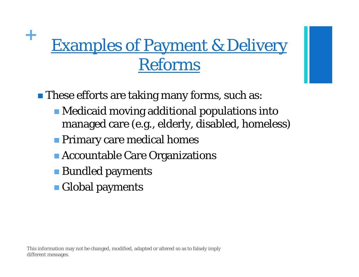# **<sup>+</sup>**Examples of Payment & Delivery Reforms

**These efforts are taking many forms, such as:** 

- Medicaid moving additional populations into managed care (e.g., elderly, disabled, homeless)
- **Primary care medical homes**
- **Accountable Care Organizations**
- **Bundled payments**
- **Global payments**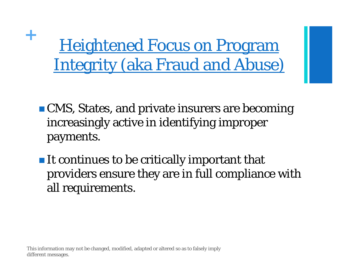<sup>+</sup> Heightened Focus on Program Integrity (aka Fraud and Abuse)

- **CMS, States, and private insurers are becoming** increasingly active in identifying improper payments.
- $\blacksquare$  It continues to be critically important that providers ensure they are in full compliance with all requirements.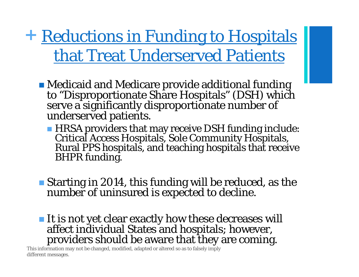**+ Reductions in Funding to Hospitals** that Treat Underserved Patients

- Medicaid and Medicare provide additional funding to "Disproportionate Share Hospitals" (DSH) which serve a significantly disproportionate number of underserved patients.
	- **HRSA** providers that may receive DSH funding include: Critical Access Hospitals, Sole Community Hospitals, Rural PPS hospitals, and teaching hospitals that receive BHPR funding.
- Starting in 2014, this funding will be reduced, as the number of uninsured is expected to decline.
- It is not yet clear exactly how these decreases will affect individual States and hospitals; however, providers should be aware that they are coming.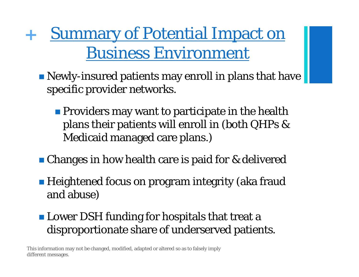**<sup>+</sup>**Summary of Potential Impact on Business Environment

- Newly-insured patients may enroll in plans that have specific provider networks.
	- **Providers may want to participate in the health** plans their patients will enroll in (both QHPs & Medicaid managed care plans.)
- **Changes in how health care is paid for & delivered**
- Heightened focus on program integrity (aka fraud and abuse)
- **Lower DSH funding for hospitals that treat a** disproportionate share of underserved patients.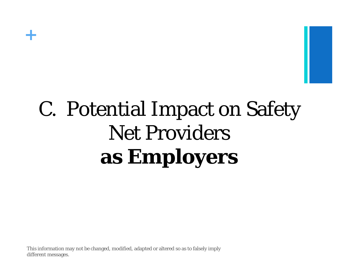

# C. Potential Impact on Safety Net Providers **as Employers**

This information may not be changed, modified, adapted or altered so as to falsely imply different messages.

**+**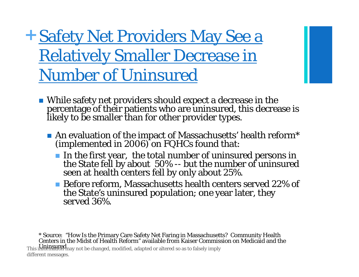**<sup>+</sup>**Safety Net Providers May See a Relatively Smaller Decrease in Number of Uninsured

- While safety net providers should expect a decrease in the percentage of their patients who are uninsured, this decrease is likely to be smaller than for other provider types.
	- An evaluation of the impact of Massachusetts' health reform\* (implemented in 2006) on FQHCs found that:
		- In the first year, the total number of uninsured persons in the State fell by about 50% -- but the number of uninsured seen at health centers fell by only about 25%.
		- Before reform, Massachusetts health centers served 22% of the State's uninsured population; one year later, they served 36%.

\* Source: "How Is the Primary Care Safety Net Faring in Massachusetts? Community Health<br>Centers in the Midst of Health Reform" available from Kaiser Commission on Medicaid and the This information may not be changed, modified, adapted or altered so as to falsely imply

different messages.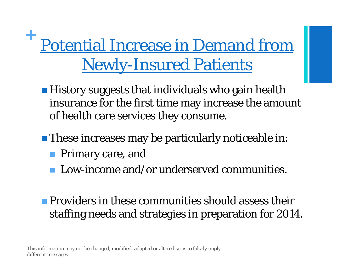# **<sup>+</sup>**Potential Increase in Demand from Newly-Insured Patients

- **History suggests that individuals who gain health** insurance for the first time may increase the amount of health care services they consume.
- **These increases may be particularly noticeable in:** 
	- **Primary care, and**
	- F. Low-income and/or underserved communities.

#### **Providers in these communities should assess their** staffing needs and strategies in preparation for 2014.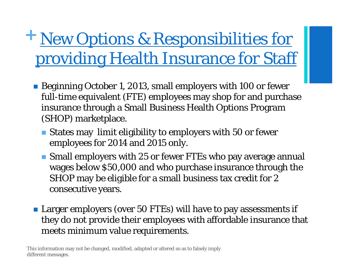## **<sup>+</sup>**New Options & Responsibilities for providing Health Insurance for Staff

- Beginning October 1, 2013, small employers with 100 or fewer full-time equivalent (FTE) employees may shop for and purchase insurance through a Small Business Health Options Program (SHOP) marketplace.
	- States may limit eligibility to employers with 50 or fewer employees for 2014 and 2015 only.
	- Small employers with 25 or fewer FTEs who pay average annual wages below \$50,000 and who purchase insurance through the SHOP may be eligible for a small business tax credit for 2 consecutive years.
- **Larger employers (over 50 FTEs) will have to pay assessments if** they do not provide their employees with affordable insurance that meets minimum value requirements.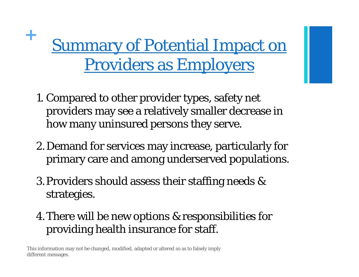# <sup>+</sup> Summary of Potential Impact on Providers as Employers

- 1. Compared to other provider types, safety net providers may see a relatively smaller decrease in how many uninsured persons they serve.
- 2. Demand for services may increase, particularly for primary care and among underserved populations.
- 3. Providers should assess their staffing needs & strategies.
- 4. There will be new options & responsibilities for providing health insurance for staff.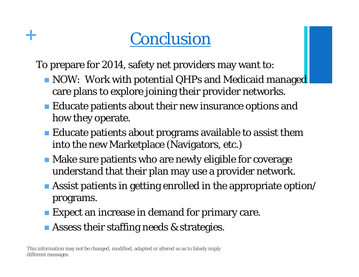## **+** Conclusion

To prepare for 2014, safety net providers may want to:

- NOW: Work with potential QHPs and Medicaid managed care plans to explore joining their provider networks.
- $\blacksquare$  Educate patients about their new insurance options and how they operate.
- $\blacksquare$  Educate patients about programs available to assist them into the new Marketplace (Navigators, etc.)
- **Make sure patients who are newly eligible for coverage** understand that their plan may use a provider network.
- $\blacksquare$  Assist patients in getting enrolled in the appropriate option/ programs.
- **Expect an increase in demand for primary care.**
- **Assess their staffing needs & strategies.**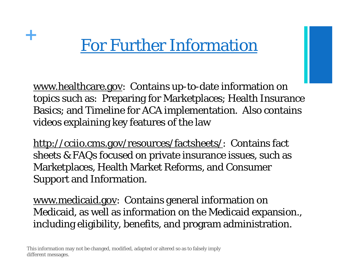### **<sup>+</sup>**For Further Information

www.healthcare.gov: Contains up-to-date information on topics such as: Preparing for Marketplaces; Health Insurance Basics; and Timeline for ACA implementation. Also contains videos explaining key features of the law

http://cciio.cms.gov/resources/factsheets/: Contains fact sheets & FAQs focused on private insurance issues, such as Marketplaces, Health Market Reforms, and Consumer Support and Information.

www.medicaid.gov: Contains general information on Medicaid, as well as information on the Medicaid expansion., including eligibility, benefits, and program administration.